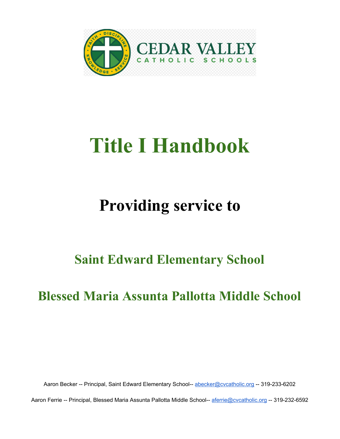

# **Title I Handbook**

## **Providing service to**

## **Saint Edward Elementary School**

## **Blessed Maria Assunta Pallotta Middle School**

Aaron Becker -- Principal, Saint Edward Elementary School-- [abecker@cvcatholic.org](mailto:aferrie@cvcatholic.org) -- 319-233-6202

Aaron Ferrie -- Principal, Blessed Maria Assunta Pallotta Middle School-- [aferrie@cvcatholic.org](mailto:aferrie@cvcatholic.org) -- 319-232-6592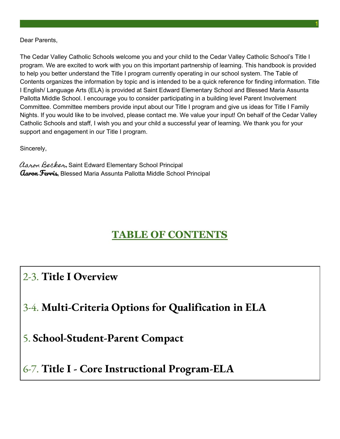#### Dear Parents,

The Cedar Valley Catholic Schools welcome you and your child to the Cedar Valley Catholic School's Title I program. We are excited to work with you on this important partnership of learning. This handbook is provided to help you better understand the Title I program currently operating in our school system. The Table of Contents organizes the information by topic and is intended to be a quick reference for finding information. Title I English/ Language Arts (ELA) is provided at Saint Edward Elementary School and Blessed Maria Assunta Pallotta Middle School. I encourage you to consider participating in a building level Parent Involvement Committee. Committee members provide input about our Title I program and give us ideas for Title I Family Nights. If you would like to be involved, please contact me. We value your input! On behalf of the Cedar Valley Catholic Schools and staff, I wish you and your child a successful year of learning. We thank you for your support and engagement in our Title I program.

1

Sincerely,

Aaron Becker, Saint Edward Elementary School Principal Garon Ferris, Blessed Maria Assunta Pallotta Middle School Principal

### **TABLE OF CONTENTS**

2-3. **Title I Overview**

### 3-4. **Multi-Criteria Options for Qualification in ELA**

5. **School-Student-Parent Compact**

### 6-7. **Title I - Core Instructional Program-ELA**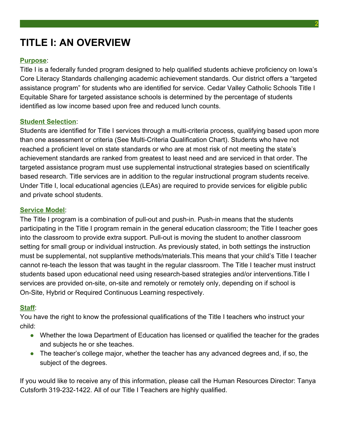## **TITLE I: AN OVERVIEW**

#### **Purpose**:

Title I is a federally funded program designed to help qualified students achieve proficiency on Iowa's Core Literacy Standards challenging academic achievement standards. Our district offers a "targeted assistance program" for students who are identified for service. Cedar Valley Catholic Schools Title I Equitable Share for targeted assistance schools is determined by the percentage of students identified as low income based upon free and reduced lunch counts.

#### **Student Selection**:

Students are identified for Title I services through a multi-criteria process, qualifying based upon more than one assessment or criteria (See Multi-Criteria Qualification Chart). Students who have not reached a proficient level on state standards or who are at most risk of not meeting the state's achievement standards are ranked from greatest to least need and are serviced in that order. The targeted assistance program must use supplemental instructional strategies based on scientifically based research. Title services are in addition to the regular instructional program students receive. Under Title I, local educational agencies (LEAs) are required to provide services for eligible public and private school students.

#### **Service Model**:

The Title I program is a combination of pull-out and push-in. Push-in means that the students participating in the Title I program remain in the general education classroom; the Title I teacher goes into the classroom to provide extra support. Pull-out is moving the student to another classroom setting for small group or individual instruction. As previously stated, in both settings the instruction must be supplemental, not supplantive methods/materials.This means that your child's Title I teacher cannot re-teach the lesson that was taught in the regular classroom. The Title I teacher must instruct students based upon educational need using research-based strategies and/or interventions.Title I services are provided on-site, on-site and remotely or remotely only, depending on if school is On-Site, Hybrid or Required Continuous Learning respectively.

#### **Staff**:

You have the right to know the professional qualifications of the Title I teachers who instruct your child:

- Whether the Iowa Department of Education has licensed or qualified the teacher for the grades and subjects he or she teaches.
- The teacher's college major, whether the teacher has any advanced degrees and, if so, the subject of the degrees.

If you would like to receive any of this information, please call the Human Resources Director: Tanya Cutsforth 319-232-1422. All of our Title I Teachers are highly qualified.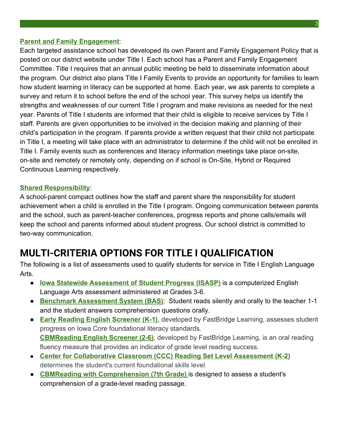#### **Parent and Family Engagement**:

Each targeted assistance school has developed its own Parent and Family Engagement Policy that is posted on our district website under Title I. Each school has a Parent and Family Engagement Committee. Title I requires that an annual public meeting be held to disseminate information about the program. Our district also plans Title I Family Events to provide an opportunity for families to learn how student learning in literacy can be supported at home. Each year, we ask parents to complete a survey and return it to school before the end of the school year. This survey helps us identify the strengths and weaknesses of our current Title I program and make revisions as needed for the next year. Parents of Title I students are informed that their child is eligible to receive services by Title I staff. Parents are given opportunities to be involved in the decision making and planning of their child's participation in the program. If parents provide a written request that their child not participate in Title I, a meeting will take place with an administrator to determine if the child will not be enrolled in Title I. Family events such as conferences and literacy information meetings take place on-site, on-site and remotely or remotely only, depending on if school is On-Site, Hybrid or Required Continuous Learning respectively.

#### **Shared Responsibility**:

A school-parent compact outlines how the staff and parent share the responsibility for student achievement when a child is enrolled in the Title I program. Ongoing communication between parents and the school, such as parent-teacher conferences, progress reports and phone calls/emails will keep the school and parents informed about student progress. Our school district is committed to two-way communication.

### **MULTI-CRITERIA OPTIONS FOR TITLE I QUALIFICATION**

The following is a list of assessments used to qualify students for service in Title I English Language Arts.

- **lowa Statewide Assessment of Student Progress (ISASP)** is a computerized English Language Arts assessment administered at Grades 3-6.
- **Benchmark Assessment System (BAS)**: Student reads silently and orally to the teacher 1-1 and the student answers comprehension questions orally.
- **Early Reading English Screener (K-1)**, developed by FastBridge Learning, assesses student progress on Iowa Core foundational literacy standards. **CBMReading English Screener (2-6)**, developed by FastBridge Learning, is an oral reading fluency measure that provides an indicator of grade level reading success.
- **Center for Collaborative Classroom (CCC) Reading Set Level Assessment (K-2)** determines the student's current foundational skills level.
- **CBMReading with Comprehension (7th Grade)** is designed to assess a student's comprehension of a grade-level reading passage.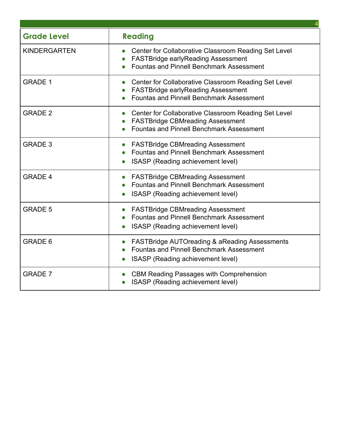| <b>Grade Level</b>  | <b>Reading</b>                                                                                                                                       |  |  |  |
|---------------------|------------------------------------------------------------------------------------------------------------------------------------------------------|--|--|--|
| <b>KINDERGARTEN</b> | Center for Collaborative Classroom Reading Set Level<br><b>FASTBridge earlyReading Assessment</b><br><b>Fountas and Pinnell Benchmark Assessment</b> |  |  |  |
| <b>GRADE 1</b>      | Center for Collaborative Classroom Reading Set Level<br><b>FASTBridge earlyReading Assessment</b><br><b>Fountas and Pinnell Benchmark Assessment</b> |  |  |  |
| <b>GRADE 2</b>      | Center for Collaborative Classroom Reading Set Level<br><b>FASTBridge CBMreading Assessment</b><br><b>Fountas and Pinnell Benchmark Assessment</b>   |  |  |  |
| <b>GRADE 3</b>      | <b>FASTBridge CBMreading Assessment</b><br><b>Fountas and Pinnell Benchmark Assessment</b><br>ISASP (Reading achievement level)                      |  |  |  |
| <b>GRADE 4</b>      | <b>FASTBridge CBMreading Assessment</b><br><b>Fountas and Pinnell Benchmark Assessment</b><br>ISASP (Reading achievement level)                      |  |  |  |
| <b>GRADE 5</b>      | <b>FASTBridge CBMreading Assessment</b><br><b>Fountas and Pinnell Benchmark Assessment</b><br>ISASP (Reading achievement level)                      |  |  |  |
| <b>GRADE 6</b>      | <b>FASTBridge AUTOreading &amp; aReading Assessments</b><br><b>Fountas and Pinnell Benchmark Assessment</b><br>ISASP (Reading achievement level)     |  |  |  |
| <b>GRADE 7</b>      | <b>CBM Reading Passages with Comprehension</b><br>ISASP (Reading achievement level)                                                                  |  |  |  |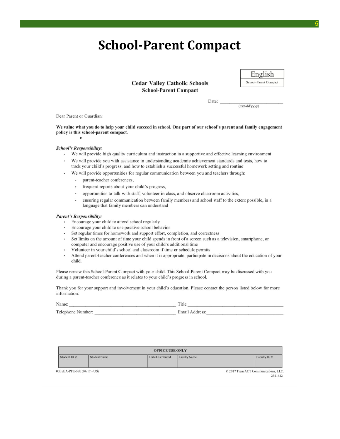## **School-Parent Compact**

**Cedar Valley Catholic Schools School-Parent Compact** 



 $(mm/dd/yyyy)$ 

Date:

Dear Parent or Guardian:

We value what you do to help your child succeed in school. One part of our school's parent and family engagement policy is this school-parent compact.

 $\mathbf c$ 

#### **School's Responsibility:**

- We will provide high quality curriculum and instruction in a supportive and effective learning environment
- We will provide you with assistance in understanding academic achievement standards and tests, how to track your child's progress, and how to establish a successful homework setting and routine
- We will provide opportunities for regular communication between you and teachers through:
	- · parent-teacher conferences,
	- frequent reports about your child's progress,
	- opportunities to talk with staff, volunteer in class, and observe classroom activities,
	- $\ddot{\phantom{0}}$ ensuring regular communication between family members and school staff to the extent possible, in a language that family members can understand

#### **Parent's Responsibility:**

- Encourage your child to attend school regularly
- $\bullet$  . Encourage your child to use positive school behavior
- Set regular times for homework and support effort, completion, and correctness  $\bullet$
- Set limits on the amount of time your child spends in front of a screen such as a television, smartphone, or computer and encourage positive use of your child's additional time
- Volunteer in your child's school and classroom if time or schedule permits  $\cdot$
- Attend parent-teacher conferences and when it is appropriate, participate in decisions about the education of your  $\ddot{\phantom{0}}$ child.

Please review this School-Parent Compact with your child. This School-Parent Compact may be discussed with you during a parent-teacher conference as it relates to your child's progress in school.

Thank you for your support and involvement in your child's education. Please contact the person listed below for more information:

| Name                | <sub>1</sub> t le                        |  |  |  |  |  |
|---------------------|------------------------------------------|--|--|--|--|--|
| Telephone<br>Number | $\Gamma$ <sub>r</sub><br>idress<br>Email |  |  |  |  |  |

| <b>OFFICE USE ONLY</b>      |                     |                  |              |                                                |  |  |
|-----------------------------|---------------------|------------------|--------------|------------------------------------------------|--|--|
| Student ID #                | <b>Student Name</b> | Date Distributed | Faculty Name | Faculty ID#                                    |  |  |
| 00ESEA-PFE-06b (04/17 - US) |                     |                  |              | © 2017 TransACT Communications, LLC<br>2321422 |  |  |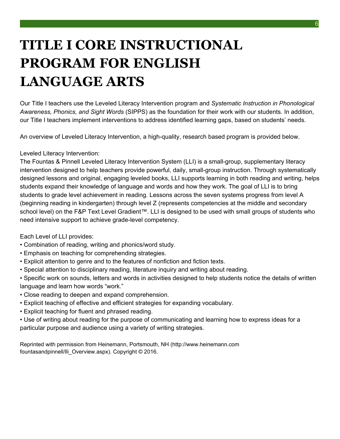## **TITLE I CORE INSTRUCTIONAL PROGRAM FOR ENGLISH LANGUAGE ARTS**

Our Title I teachers use the Leveled Literacy Intervention program and *Systematic Instruction in Phonological Awareness, Phonics, and Sight Words* (SIPPS) as the foundation for their work with our students. In addition, our Title I teachers implement interventions to address identified learning gaps, based on students' needs.

An overview of Leveled Literacy Intervention, a high-quality, research based program is provided below.

#### Leveled Literacy Intervention:

The Fountas & Pinnell Leveled Literacy Intervention System (LLI) is a small-group, supplementary literacy intervention designed to help teachers provide powerful, daily, small-group instruction. Through systematically designed lessons and original, engaging leveled books, LLI supports learning in both reading and writing, helps students expand their knowledge of language and words and how they work. The goal of LLI is to bring students to grade level achievement in reading. Lessons across the seven systems progress from level A (beginning reading in kindergarten) through level Z (represents competencies at the middle and secondary school level) on the F&P Text Level Gradient™. LLI is designed to be used with small groups of students who need intensive support to achieve grade-level competency.

Each Level of LLI provides:

- Combination of reading, writing and phonics/word study.
- Emphasis on teaching for comprehending strategies.
- Explicit attention to genre and to the features of nonfiction and fiction texts.
- Special attention to disciplinary reading, literature inquiry and writing about reading.
- Specific work on sounds, letters and words in activities designed to help students notice the details of written language and learn how words "work."
- Close reading to deepen and expand comprehension.
- Explicit teaching of effective and efficient strategies for expanding vocabulary.
- Explicit teaching for fluent and phrased reading.
- Use of writing about reading for the purpose of communicating and learning how to express ideas for a particular purpose and audience using a variety of writing strategies.

Reprinted with permission from Heinemann, Portsmouth, NH (http://www.heinemann.com fountasandpinnell/lli\_Overview.aspx). Copyright © 2016.